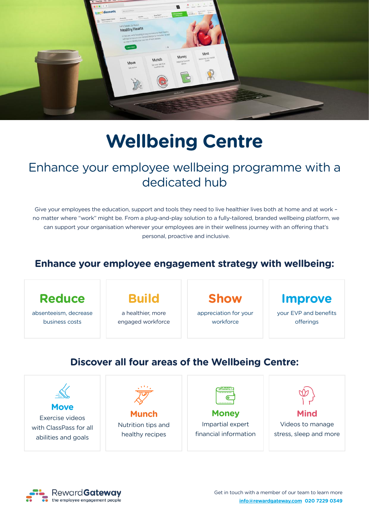

# **Wellbeing Centre**

# Enhance your employee wellbeing programme with a dedicated hub

Give your employees the education, support and tools they need to live healthier lives both at home and at work – no matter where "work" might be. From a plug-and-play solution to a fully-tailored, branded wellbeing platform, we can support your organisation wherever your employees are in their wellness journey with an offering that's personal, proactive and inclusive.

## **Enhance your employee engagement strategy with wellbeing:**



absenteeism, decrease business costs

# **Build**

a healthier, more engaged workforce **Show**

appreciation for your workforce

## **Improve**

your EVP and benefits offerings

# **Discover all four areas of the Wellbeing Centre:**